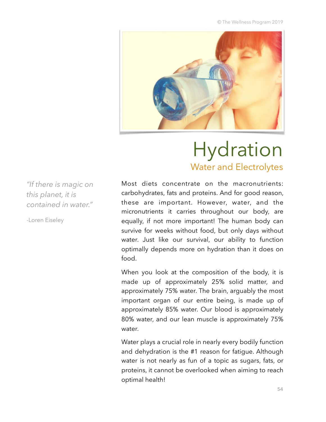© The Wellness Program 2019



# Hydration Water and Electrolytes

*"If there is magic on this planet, it is contained in water."* 

-Loren Eiseley

Most diets concentrate on the macronutrients: carbohydrates, fats and proteins. And for good reason, these are important. However, water, and the micronutrients it carries throughout our body, are equally, if not more important! The human body can survive for weeks without food, but only days without water. Just like our survival, our ability to function optimally depends more on hydration than it does on food.

When you look at the composition of the body, it is made up of approximately 25% solid matter, and approximately 75% water. The brain, arguably the most important organ of our entire being, is made up of approximately 85% water. Our blood is approximately 80% water, and our lean muscle is approximately 75% water.

Water plays a crucial role in nearly every bodily function and dehydration is the #1 reason for fatigue. Although water is not nearly as fun of a topic as sugars, fats, or proteins, it cannot be overlooked when aiming to reach optimal health!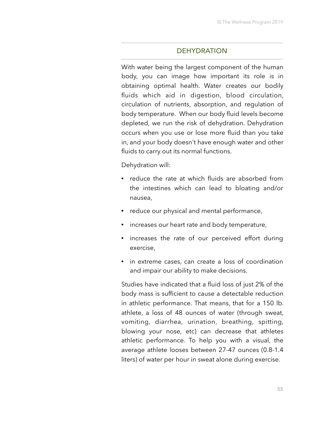#### **DEHYDRATION**

With water being the largest component of the human body, you can image how important its role is in obtaining optimal health. Water creates our bodily fluids which aid in digestion, blood circulation, circulation of nutrients, absorption, and regulation of body temperature. When our body fluid levels become depleted, we run the risk of dehydration. Dehydration occurs when you use or lose more fluid than you take in, and your body doesn't have enough water and other fluids to carry out its normal functions.

Dehydration will:

- reduce the rate at which fluids are absorbed from the intestines which can lead to bloating and/or nausea,
- reduce our physical and mental performance,
- increases our heart rate and body temperature,
- increases the rate of our perceived effort during exercise,
- in extreme cases, can create a loss of coordination and impair our ability to make decisions.

Studies have indicated that a fluid loss of just 2% of the body mass is sufficient to cause a detectable reduction in athletic performance. That means, that for a 150 lb. athlete, a loss of 48 ounces of water (through sweat, vomiting, diarrhea, urination, breathing, spitting, blowing your nose, etc) can decrease that athletes athletic performance. To help you with a visual, the average athlete looses between 27-47 ounces (0.8-1.4 liters) of water per hour in sweat alone during exercise.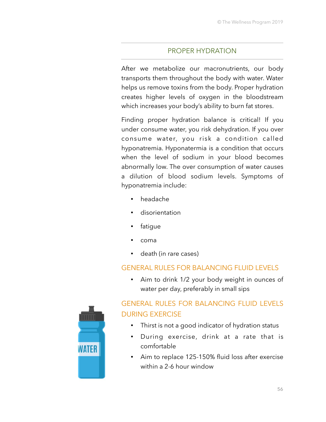## PROPER HYDRATION

After we metabolize our macronutrients, our body transports them throughout the body with water. Water helps us remove toxins from the body. Proper hydration creates higher levels of oxygen in the bloodstream which increases your body's ability to burn fat stores.

Finding proper hydration balance is critical! If you under consume water, you risk dehydration. If you over consume water, you risk a condition called hyponatremia. Hyponatermia is a condition that occurs when the level of sodium in your blood becomes abnormally low. The over consumption of water causes a dilution of blood sodium levels. Symptoms of hyponatremia include:

- headache
- disorientation
- fatigue
- coma
- death (in rare cases)

## GENERAL RULES FOR BALANCING FLUID LEVELS

• Aim to drink 1/2 your body weight in ounces of water per day, preferably in small sips

## GENERAL RULES FOR BALANCING FLUID LEVELS DURING EXERCISE • Thirst is not a good indicator of hydration status

- During exercise, drink at a rate that is comfortable
- Aim to replace 125-150% fluid loss after exercise within a 2-6 hour window

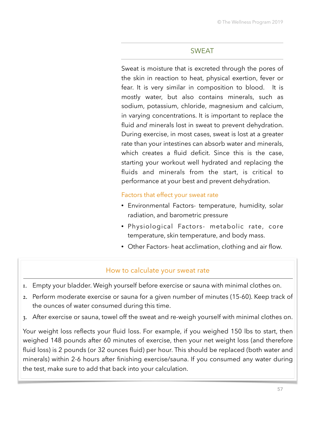### SWEAT

Sweat is moisture that is excreted through the pores of the skin in reaction to heat, physical exertion, fever or fear. It is very similar in composition to blood. It is mostly water, but also contains minerals, such as sodium, potassium, chloride, magnesium and calcium, in varying concentrations. It is important to replace the fluid *and* minerals lost in sweat to prevent dehydration. During exercise, in most cases, sweat is lost at a greater rate than your intestines can absorb water and minerals, which creates a fluid deficit. Since this is the case, starting your workout well hydrated and replacing the fluids and minerals from the start, is critical to performance at your best and prevent dehydration.

#### Factors that effect your sweat rate

- Environmental Factors- temperature, humidity, solar radiation, and barometric pressure
- Physiological Factors- metabolic rate, core temperature, skin temperature, and body mass.
- Other Factors- heat acclimation, clothing and air flow.

## How to calculate your sweat rate

- 1. Empty your bladder. Weigh yourself before exercise or sauna with minimal clothes on.
- 2. Perform moderate exercise or sauna for a given number of minutes (15-60). Keep track of the ounces of water consumed during this time.
- 3. After exercise or sauna, towel off the sweat and re-weigh yourself with minimal clothes on.

Your weight loss reflects your fluid loss. For example, if you weighed 150 lbs to start, then weighed 148 pounds after 60 minutes of exercise, then your net weight loss (and therefore fluid loss) is 2 pounds (or 32 ounces fluid) per hour. This should be replaced (both water and minerals) within 2-6 hours after finishing exercise/sauna. If you consumed any water during the test, make sure to add that back into your calculation.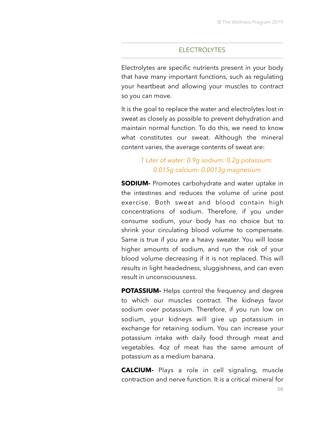#### **ELECTROLYTES**

Electrolytes are specific nutrients present in your body that have many important functions, such as regulating your heartbeat and allowing your muscles to contract so you can move.

It is the goal to replace the water and electrolytes lost in sweat as closely as possible to prevent dehydration and maintain normal function. To do this, we need to know what constitutes our sweat. Although the mineral content varies, the average contents of sweat are:

## *1 Liter of water: 0.9g sodium: 0.2g potassium: 0.015g calcium: 0.0013g magnesium*

**SODIUM-** Promotes carbohydrate and water uptake in the intestines and reduces the volume of urine post exercise. Both sweat and blood contain high concentrations of sodium. Therefore, if you under consume sodium, your body has no choice but to shrink your circulating blood volume to compensate. Same is true if you are a heavy sweater. You will loose higher amounts of sodium, and run the risk of your blood volume decreasing if it is not replaced. This will results in light headedness, sluggishness, and can even result in unconsciousness.

**POTASSIUM-** Helps control the frequency and degree to which our muscles contract. The kidneys favor sodium over potassium. Therefore, if you run low on sodium, your kidneys will give up potassium in exchange for retaining sodium. You can increase your potassium intake with daily food through meat and vegetables. 4oz of meat has the same amount of potassium as a medium banana.

**CALCIUM-** Plays a role in cell signaling, muscle contraction and nerve function. It is a critical mineral for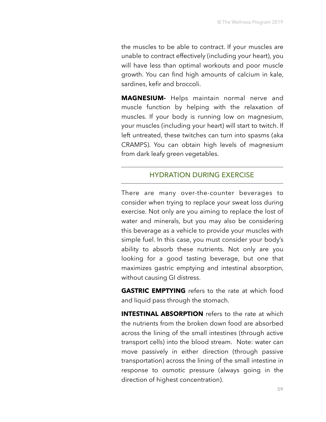the muscles to be able to contract. If your muscles are unable to contract effectively (including your heart), you will have less than optimal workouts and poor muscle growth. You can find high amounts of calcium in kale, sardines, kefir and broccoli.

**MAGNESIUM-** Helps maintain normal nerve and muscle function by helping with the relaxation of muscles. If your body is running low on magnesium, your muscles (including your heart) will start to twitch. If left untreated, these twitches can turn into spasms (aka CRAMPS). You can obtain high levels of magnesium from dark leafy green vegetables.

### HYDRATION DURING EXERCISE

There are many over-the-counter beverages to consider when trying to replace your sweat loss during exercise. Not only are you aiming to replace the lost of water and minerals, but you may also be considering this beverage as a vehicle to provide your muscles with simple fuel. In this case, you must consider your body's ability to absorb these nutrients. Not only are you looking for a good tasting beverage, but one that maximizes gastric emptying and intestinal absorption, without causing GI distress.

**GASTRIC EMPTYING** refers to the rate at which food and liquid pass through the stomach.

**INTESTINAL ABSORPTION** refers to the rate at which the nutrients from the broken down food are absorbed across the lining of the small intestines (through active transport cells) into the blood stream. Note: water can move passively in either direction (through passive transportation) across the lining of the small intestine in response to osmotic pressure (always going in the direction of highest concentration).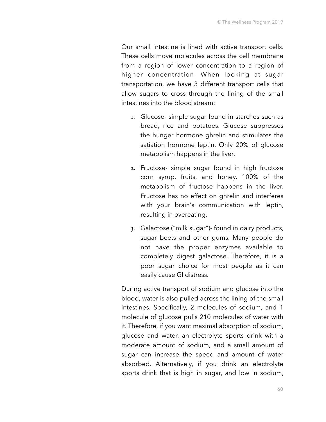Our small intestine is lined with active transport cells. These cells move molecules across the cell membrane from a region of lower concentration to a region of higher concentration. When looking at sugar transportation, we have 3 different transport cells that allow sugars to cross through the lining of the small intestines into the blood stream:

- 1. Glucose- simple sugar found in starches such as bread, rice and potatoes. Glucose suppresses the hunger hormone ghrelin and stimulates the satiation hormone leptin. Only 20% of glucose metabolism happens in the liver.
- 2. Fructose- simple sugar found in high fructose corn syrup, fruits, and honey. 100% of the metabolism of fructose happens in the liver. Fructose has no effect on ghrelin and interferes with your brain's communication with leptin, resulting in overeating.
- 3. Galactose ("milk sugar")- found in dairy products, sugar beets and other gums. Many people do not have the proper enzymes available to completely digest galactose. Therefore, it is a poor sugar choice for most people as it can easily cause GI distress.

During active transport of sodium and glucose into the blood, water is also pulled across the lining of the small intestines. Specifically, 2 molecules of sodium, and 1 molecule of glucose pulls 210 molecules of water with it. Therefore, if you want maximal absorption of sodium, glucose and water, an electrolyte sports drink with a moderate amount of sodium, and a small amount of sugar can increase the speed and amount of water absorbed. Alternatively, if you drink an electrolyte sports drink that is high in sugar, and low in sodium,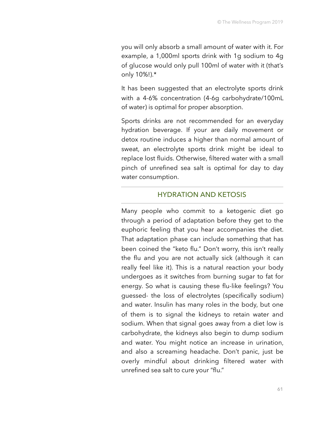you will only absorb a small amount of water with it. For example, a 1,000ml sports drink with 1g sodium to 4g of glucose would only pull 100ml of water with it (that's only 10%!).\*

It has been suggested that an electrolyte sports drink with a 4-6% concentration (4-6g carbohydrate/100mL of water) is optimal for proper absorption.

Sports drinks are not recommended for an everyday hydration beverage. If your are daily movement or detox routine induces a higher than normal amount of sweat, an electrolyte sports drink might be ideal to replace lost fluids. Otherwise, filtered water with a small pinch of unrefined sea salt is optimal for day to day water consumption.

#### HYDRATION AND KETOSIS

Many people who commit to a ketogenic diet go through a period of adaptation before they get to the euphoric feeling that you hear accompanies the diet. That adaptation phase can include something that has been coined the "keto flu." Don't worry, this isn't really the flu and you are not actually sick (although it can really feel like it). This is a natural reaction your body undergoes as it switches from burning sugar to fat for energy. So what is causing these flu-like feelings? You guessed- the loss of electrolytes (specifically sodium) and water. Insulin has many roles in the body, but one of them is to signal the kidneys to retain water and sodium. When that signal goes away from a diet low is carbohydrate, the kidneys also begin to dump sodium and water. You might notice an increase in urination, and also a screaming headache. Don't panic, just be overly mindful about drinking filtered water with unrefined sea salt to cure your "flu."